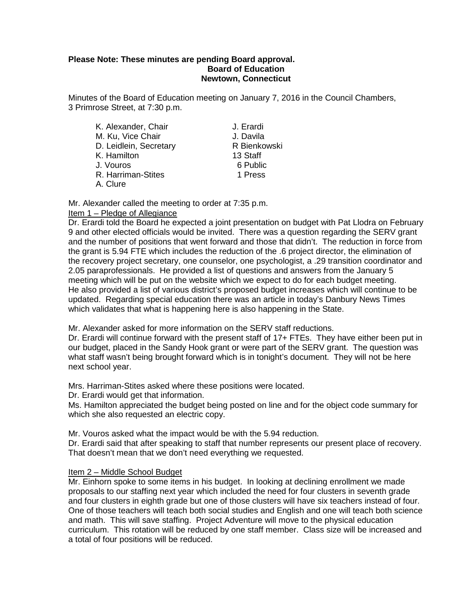### **Please Note: These minutes are pending Board approval. Board of Education Newtown, Connecticut**

Minutes of the Board of Education meeting on January 7, 2016 in the Council Chambers, 3 Primrose Street, at 7:30 p.m.

| K. Alexander, Chair    | J. Erardi    |  |
|------------------------|--------------|--|
| M. Ku, Vice Chair      | J. Davila    |  |
| D. Leidlein, Secretary | R Bienkowski |  |
| K. Hamilton            | 13 Staff     |  |
| J. Vouros              | 6 Public     |  |
| R. Harriman-Stites     | 1 Press      |  |
| A. Clure               |              |  |

Mr. Alexander called the meeting to order at 7:35 p.m.

### Item 1 – Pledge of Allegiance

Dr. Erardi told the Board he expected a joint presentation on budget with Pat Llodra on February 9 and other elected officials would be invited. There was a question regarding the SERV grant and the number of positions that went forward and those that didn't. The reduction in force from the grant is 5.94 FTE which includes the reduction of the .6 project director, the elimination of the recovery project secretary, one counselor, one psychologist, a .29 transition coordinator and 2.05 paraprofessionals. He provided a list of questions and answers from the January 5 meeting which will be put on the website which we expect to do for each budget meeting. He also provided a list of various district's proposed budget increases which will continue to be updated. Regarding special education there was an article in today's Danbury News Times which validates that what is happening here is also happening in the State.

Mr. Alexander asked for more information on the SERV staff reductions.

Dr. Erardi will continue forward with the present staff of 17+ FTEs. They have either been put in our budget, placed in the Sandy Hook grant or were part of the SERV grant. The question was what staff wasn't being brought forward which is in tonight's document. They will not be here next school year.

Mrs. Harriman-Stites asked where these positions were located.

Dr. Erardi would get that information.

Ms. Hamilton appreciated the budget being posted on line and for the object code summary for which she also requested an electric copy.

Mr. Vouros asked what the impact would be with the 5.94 reduction.

Dr. Erardi said that after speaking to staff that number represents our present place of recovery. That doesn't mean that we don't need everything we requested.

### Item 2 – Middle School Budget

Mr. Einhorn spoke to some items in his budget. In looking at declining enrollment we made proposals to our staffing next year which included the need for four clusters in seventh grade and four clusters in eighth grade but one of those clusters will have six teachers instead of four. One of those teachers will teach both social studies and English and one will teach both science and math. This will save staffing. Project Adventure will move to the physical education curriculum. This rotation will be reduced by one staff member. Class size will be increased and a total of four positions will be reduced.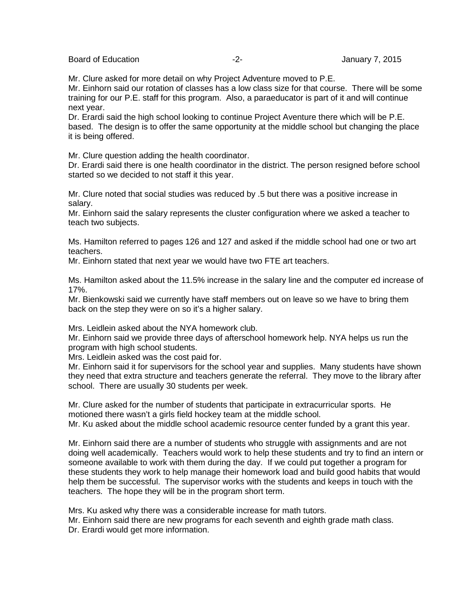Board of Education **-2-** Figure 2. The Second Second Second Second Second Second Second Second Second Second Second Second Second Second Second Second Second Second Second Second Second Second Second Second Second Second S

Mr. Clure asked for more detail on why Project Adventure moved to P.E.

Mr. Einhorn said our rotation of classes has a low class size for that course. There will be some training for our P.E. staff for this program. Also, a paraeducator is part of it and will continue next year.

Dr. Erardi said the high school looking to continue Project Aventure there which will be P.E. based. The design is to offer the same opportunity at the middle school but changing the place it is being offered.

Mr. Clure question adding the health coordinator.

Dr. Erardi said there is one health coordinator in the district. The person resigned before school started so we decided to not staff it this year.

Mr. Clure noted that social studies was reduced by .5 but there was a positive increase in salary.

Mr. Einhorn said the salary represents the cluster configuration where we asked a teacher to teach two subjects.

Ms. Hamilton referred to pages 126 and 127 and asked if the middle school had one or two art teachers.

Mr. Einhorn stated that next year we would have two FTE art teachers.

Ms. Hamilton asked about the 11.5% increase in the salary line and the computer ed increase of 17%.

Mr. Bienkowski said we currently have staff members out on leave so we have to bring them back on the step they were on so it's a higher salary.

Mrs. Leidlein asked about the NYA homework club.

Mr. Einhorn said we provide three days of afterschool homework help. NYA helps us run the program with high school students.

Mrs. Leidlein asked was the cost paid for.

Mr. Einhorn said it for supervisors for the school year and supplies. Many students have shown they need that extra structure and teachers generate the referral. They move to the library after school. There are usually 30 students per week.

Mr. Clure asked for the number of students that participate in extracurricular sports. He motioned there wasn't a girls field hockey team at the middle school. Mr. Ku asked about the middle school academic resource center funded by a grant this year.

Mr. Einhorn said there are a number of students who struggle with assignments and are not doing well academically. Teachers would work to help these students and try to find an intern or someone available to work with them during the day. If we could put together a program for these students they work to help manage their homework load and build good habits that would help them be successful. The supervisor works with the students and keeps in touch with the teachers. The hope they will be in the program short term.

Mrs. Ku asked why there was a considerable increase for math tutors.

Mr. Einhorn said there are new programs for each seventh and eighth grade math class. Dr. Erardi would get more information.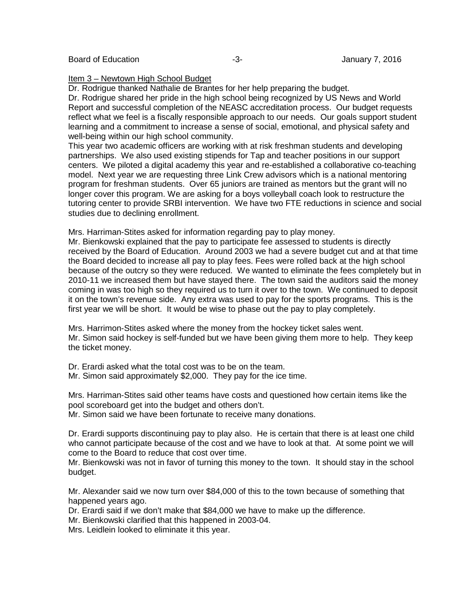### Item 3 – Newtown High School Budget

Dr. Rodrigue thanked Nathalie de Brantes for her help preparing the budget.

Dr. Rodrigue shared her pride in the high school being recognized by US News and World Report and successful completion of the NEASC accreditation process. Our budget requests reflect what we feel is a fiscally responsible approach to our needs. Our goals support student learning and a commitment to increase a sense of social, emotional, and physical safety and well-being within our high school community.

This year two academic officers are working with at risk freshman students and developing partnerships. We also used existing stipends for Tap and teacher positions in our support centers. We piloted a digital academy this year and re-established a collaborative co-teaching model. Next year we are requesting three Link Crew advisors which is a national mentoring program for freshman students. Over 65 juniors are trained as mentors but the grant will no longer cover this program. We are asking for a boys volleyball coach look to restructure the tutoring center to provide SRBI intervention. We have two FTE reductions in science and social studies due to declining enrollment.

Mrs. Harriman-Stites asked for information regarding pay to play money.

Mr. Bienkowski explained that the pay to participate fee assessed to students is directly received by the Board of Education. Around 2003 we had a severe budget cut and at that time the Board decided to increase all pay to play fees. Fees were rolled back at the high school because of the outcry so they were reduced. We wanted to eliminate the fees completely but in 2010-11 we increased them but have stayed there. The town said the auditors said the money coming in was too high so they required us to turn it over to the town. We continued to deposit it on the town's revenue side. Any extra was used to pay for the sports programs. This is the first year we will be short. It would be wise to phase out the pay to play completely.

Mrs. Harrimon-Stites asked where the money from the hockey ticket sales went. Mr. Simon said hockey is self-funded but we have been giving them more to help. They keep the ticket money.

Dr. Erardi asked what the total cost was to be on the team.

Mr. Simon said approximately \$2,000. They pay for the ice time.

Mrs. Harriman-Stites said other teams have costs and questioned how certain items like the pool scoreboard get into the budget and others don't.

Mr. Simon said we have been fortunate to receive many donations.

Dr. Erardi supports discontinuing pay to play also. He is certain that there is at least one child who cannot participate because of the cost and we have to look at that. At some point we will come to the Board to reduce that cost over time.

Mr. Bienkowski was not in favor of turning this money to the town. It should stay in the school budget.

Mr. Alexander said we now turn over \$84,000 of this to the town because of something that happened years ago.

Dr. Erardi said if we don't make that \$84,000 we have to make up the difference.

Mr. Bienkowski clarified that this happened in 2003-04.

Mrs. Leidlein looked to eliminate it this year.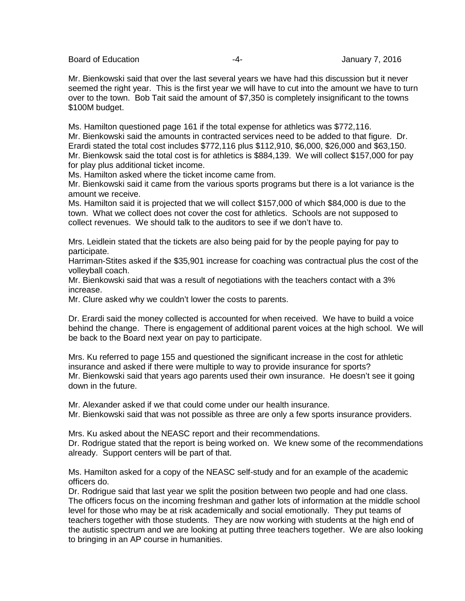Board of Education **Francisco Community** 2016 **-4-** Francisco Community 2016

Mr. Bienkowski said that over the last several years we have had this discussion but it never seemed the right year. This is the first year we will have to cut into the amount we have to turn over to the town. Bob Tait said the amount of \$7,350 is completely insignificant to the towns \$100M budget.

Ms. Hamilton questioned page 161 if the total expense for athletics was \$772,116. Mr. Bienkowski said the amounts in contracted services need to be added to that figure. Dr. Erardi stated the total cost includes \$772,116 plus \$112,910, \$6,000, \$26,000 and \$63,150. Mr. Bienkowsk said the total cost is for athletics is \$884,139. We will collect \$157,000 for pay for play plus additional ticket income.

Ms. Hamilton asked where the ticket income came from.

Mr. Bienkowski said it came from the various sports programs but there is a lot variance is the amount we receive.

Ms. Hamilton said it is projected that we will collect \$157,000 of which \$84,000 is due to the town. What we collect does not cover the cost for athletics. Schools are not supposed to collect revenues. We should talk to the auditors to see if we don't have to.

Mrs. Leidlein stated that the tickets are also being paid for by the people paying for pay to participate.

Harriman-Stites asked if the \$35,901 increase for coaching was contractual plus the cost of the volleyball coach.

Mr. Bienkowski said that was a result of negotiations with the teachers contact with a 3% increase.

Mr. Clure asked why we couldn't lower the costs to parents.

Dr. Erardi said the money collected is accounted for when received. We have to build a voice behind the change. There is engagement of additional parent voices at the high school. We will be back to the Board next year on pay to participate.

Mrs. Ku referred to page 155 and questioned the significant increase in the cost for athletic insurance and asked if there were multiple to way to provide insurance for sports? Mr. Bienkowski said that years ago parents used their own insurance. He doesn't see it going down in the future.

Mr. Alexander asked if we that could come under our health insurance. Mr. Bienkowski said that was not possible as three are only a few sports insurance providers.

Mrs. Ku asked about the NEASC report and their recommendations.

Dr. Rodrigue stated that the report is being worked on. We knew some of the recommendations already. Support centers will be part of that.

Ms. Hamilton asked for a copy of the NEASC self-study and for an example of the academic officers do.

Dr. Rodrigue said that last year we split the position between two people and had one class. The officers focus on the incoming freshman and gather lots of information at the middle school level for those who may be at risk academically and social emotionally. They put teams of teachers together with those students. They are now working with students at the high end of the autistic spectrum and we are looking at putting three teachers together. We are also looking to bringing in an AP course in humanities.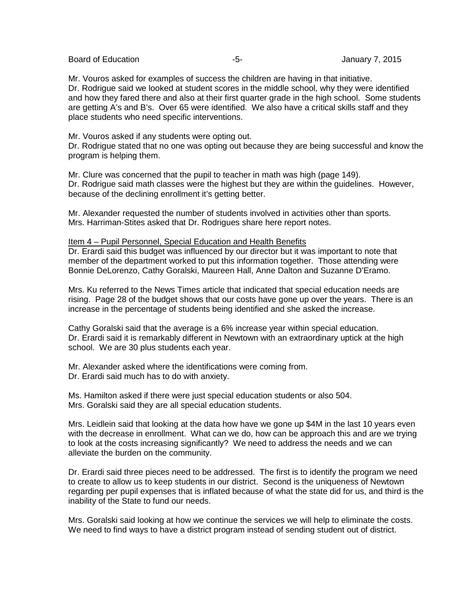Board of Education **-5-** F-S- F-S- January 7, 2015

Mr. Vouros asked for examples of success the children are having in that initiative. Dr. Rodrigue said we looked at student scores in the middle school, why they were identified and how they fared there and also at their first quarter grade in the high school. Some students are getting A's and B's. Over 65 were identified. We also have a critical skills staff and they place students who need specific interventions.

Mr. Vouros asked if any students were opting out.

Dr. Rodrigue stated that no one was opting out because they are being successful and know the program is helping them.

Mr. Clure was concerned that the pupil to teacher in math was high (page 149). Dr. Rodrigue said math classes were the highest but they are within the guidelines. However, because of the declining enrollment it's getting better.

Mr. Alexander requested the number of students involved in activities other than sports. Mrs. Harriman-Stites asked that Dr. Rodrigues share here report notes.

#### Item 4 – Pupil Personnel, Special Education and Health Benefits

Dr. Erardi said this budget was influenced by our director but it was important to note that member of the department worked to put this information together. Those attending were Bonnie DeLorenzo, Cathy Goralski, Maureen Hall, Anne Dalton and Suzanne D'Eramo.

Mrs. Ku referred to the News Times article that indicated that special education needs are rising. Page 28 of the budget shows that our costs have gone up over the years. There is an increase in the percentage of students being identified and she asked the increase.

Cathy Goralski said that the average is a 6% increase year within special education. Dr. Erardi said it is remarkably different in Newtown with an extraordinary uptick at the high school. We are 30 plus students each year.

Mr. Alexander asked where the identifications were coming from.

Dr. Erardi said much has to do with anxiety.

Ms. Hamilton asked if there were just special education students or also 504. Mrs. Goralski said they are all special education students.

Mrs. Leidlein said that looking at the data how have we gone up \$4M in the last 10 years even with the decrease in enrollment. What can we do, how can be approach this and are we trying to look at the costs increasing significantly? We need to address the needs and we can alleviate the burden on the community.

Dr. Erardi said three pieces need to be addressed. The first is to identify the program we need to create to allow us to keep students in our district. Second is the uniqueness of Newtown regarding per pupil expenses that is inflated because of what the state did for us, and third is the inability of the State to fund our needs.

Mrs. Goralski said looking at how we continue the services we will help to eliminate the costs. We need to find ways to have a district program instead of sending student out of district.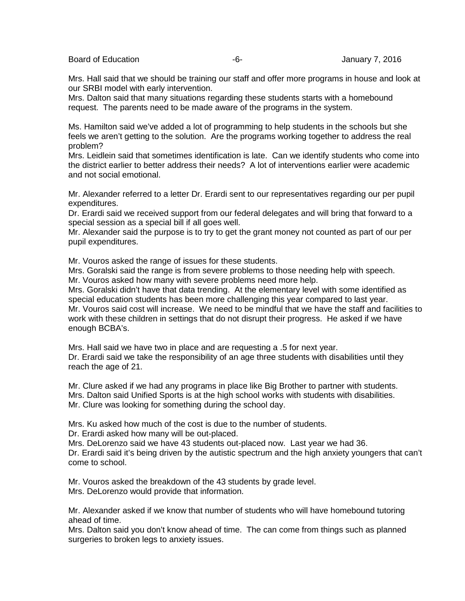Board of Education **-6-** Figure 10 and the Section of Education of Education 1.

Mrs. Hall said that we should be training our staff and offer more programs in house and look at our SRBI model with early intervention.

Mrs. Dalton said that many situations regarding these students starts with a homebound request. The parents need to be made aware of the programs in the system.

Ms. Hamilton said we've added a lot of programming to help students in the schools but she feels we aren't getting to the solution. Are the programs working together to address the real problem?

Mrs. Leidlein said that sometimes identification is late. Can we identify students who come into the district earlier to better address their needs? A lot of interventions earlier were academic and not social emotional.

Mr. Alexander referred to a letter Dr. Erardi sent to our representatives regarding our per pupil expenditures.

Dr. Erardi said we received support from our federal delegates and will bring that forward to a special session as a special bill if all goes well.

Mr. Alexander said the purpose is to try to get the grant money not counted as part of our per pupil expenditures.

Mr. Vouros asked the range of issues for these students.

Mrs. Goralski said the range is from severe problems to those needing help with speech. Mr. Vouros asked how many with severe problems need more help.

Mrs. Goralski didn't have that data trending. At the elementary level with some identified as special education students has been more challenging this year compared to last year. Mr. Vouros said cost will increase. We need to be mindful that we have the staff and facilities to work with these children in settings that do not disrupt their progress. He asked if we have enough BCBA's.

Mrs. Hall said we have two in place and are requesting a .5 for next year.

Dr. Erardi said we take the responsibility of an age three students with disabilities until they reach the age of 21.

Mr. Clure asked if we had any programs in place like Big Brother to partner with students. Mrs. Dalton said Unified Sports is at the high school works with students with disabilities. Mr. Clure was looking for something during the school day.

Mrs. Ku asked how much of the cost is due to the number of students. Dr. Erardi asked how many will be out-placed.

Mrs. DeLorenzo said we have 43 students out-placed now. Last year we had 36. Dr. Erardi said it's being driven by the autistic spectrum and the high anxiety youngers that can't come to school.

Mr. Vouros asked the breakdown of the 43 students by grade level. Mrs. DeLorenzo would provide that information.

Mr. Alexander asked if we know that number of students who will have homebound tutoring ahead of time.

Mrs. Dalton said you don't know ahead of time. The can come from things such as planned surgeries to broken legs to anxiety issues.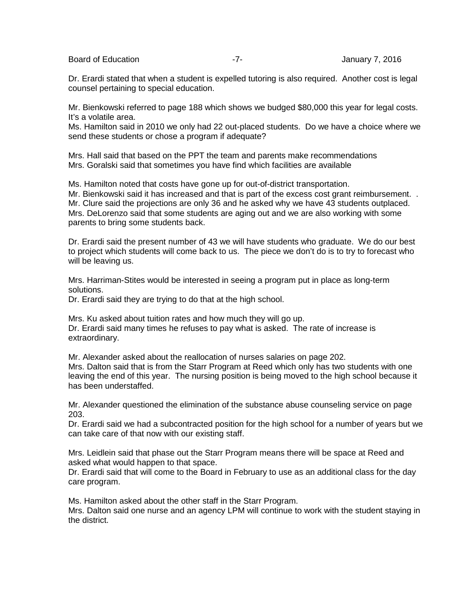Board of Education **Contract Contract Contract Contract Contract Contract Contract Contract Contract Contract Contract Contract Contract Contract Contract Contract Contract Contract Contract Contract Contract Contract Cont** 

Dr. Erardi stated that when a student is expelled tutoring is also required. Another cost is legal counsel pertaining to special education.

Mr. Bienkowski referred to page 188 which shows we budged \$80,000 this year for legal costs. It's a volatile area.

Ms. Hamilton said in 2010 we only had 22 out-placed students. Do we have a choice where we send these students or chose a program if adequate?

Mrs. Hall said that based on the PPT the team and parents make recommendations Mrs. Goralski said that sometimes you have find which facilities are available

Ms. Hamilton noted that costs have gone up for out-of-district transportation. Mr. Bienkowski said it has increased and that is part of the excess cost grant reimbursement. . Mr. Clure said the projections are only 36 and he asked why we have 43 students outplaced. Mrs. DeLorenzo said that some students are aging out and we are also working with some parents to bring some students back.

Dr. Erardi said the present number of 43 we will have students who graduate. We do our best to project which students will come back to us. The piece we don't do is to try to forecast who will be leaving us.

Mrs. Harriman-Stites would be interested in seeing a program put in place as long-term solutions.

Dr. Erardi said they are trying to do that at the high school.

Mrs. Ku asked about tuition rates and how much they will go up. Dr. Erardi said many times he refuses to pay what is asked. The rate of increase is extraordinary.

Mr. Alexander asked about the reallocation of nurses salaries on page 202. Mrs. Dalton said that is from the Starr Program at Reed which only has two students with one leaving the end of this year. The nursing position is being moved to the high school because it has been understaffed.

Mr. Alexander questioned the elimination of the substance abuse counseling service on page 203.

Dr. Erardi said we had a subcontracted position for the high school for a number of years but we can take care of that now with our existing staff.

Mrs. Leidlein said that phase out the Starr Program means there will be space at Reed and asked what would happen to that space.

Dr. Erardi said that will come to the Board in February to use as an additional class for the day care program.

Ms. Hamilton asked about the other staff in the Starr Program.

Mrs. Dalton said one nurse and an agency LPM will continue to work with the student staying in the district.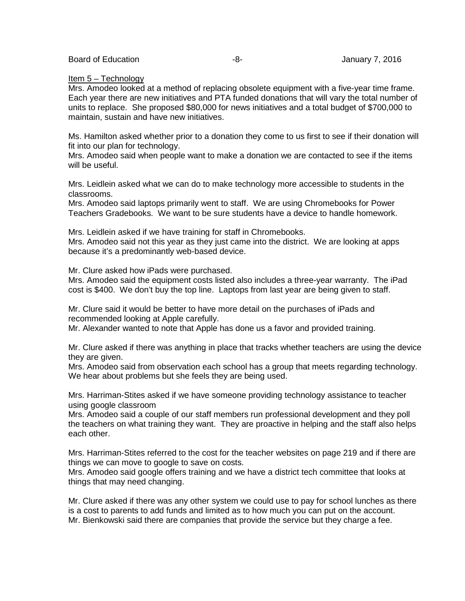#### Item 5 – Technology

Mrs. Amodeo looked at a method of replacing obsolete equipment with a five-year time frame. Each year there are new initiatives and PTA funded donations that will vary the total number of units to replace. She proposed \$80,000 for news initiatives and a total budget of \$700,000 to maintain, sustain and have new initiatives.

Ms. Hamilton asked whether prior to a donation they come to us first to see if their donation will fit into our plan for technology.

Mrs. Amodeo said when people want to make a donation we are contacted to see if the items will be useful.

Mrs. Leidlein asked what we can do to make technology more accessible to students in the classrooms.

Mrs. Amodeo said laptops primarily went to staff. We are using Chromebooks for Power Teachers Gradebooks. We want to be sure students have a device to handle homework.

Mrs. Leidlein asked if we have training for staff in Chromebooks.

Mrs. Amodeo said not this year as they just came into the district. We are looking at apps because it's a predominantly web-based device.

Mr. Clure asked how iPads were purchased.

Mrs. Amodeo said the equipment costs listed also includes a three-year warranty. The iPad cost is \$400. We don't buy the top line. Laptops from last year are being given to staff.

Mr. Clure said it would be better to have more detail on the purchases of iPads and recommended looking at Apple carefully.

Mr. Alexander wanted to note that Apple has done us a favor and provided training.

Mr. Clure asked if there was anything in place that tracks whether teachers are using the device they are given.

Mrs. Amodeo said from observation each school has a group that meets regarding technology. We hear about problems but she feels they are being used.

Mrs. Harriman-Stites asked if we have someone providing technology assistance to teacher using google classroom

Mrs. Amodeo said a couple of our staff members run professional development and they poll the teachers on what training they want. They are proactive in helping and the staff also helps each other.

Mrs. Harriman-Stites referred to the cost for the teacher websites on page 219 and if there are things we can move to google to save on costs.

Mrs. Amodeo said google offers training and we have a district tech committee that looks at things that may need changing.

Mr. Clure asked if there was any other system we could use to pay for school lunches as there is a cost to parents to add funds and limited as to how much you can put on the account. Mr. Bienkowski said there are companies that provide the service but they charge a fee.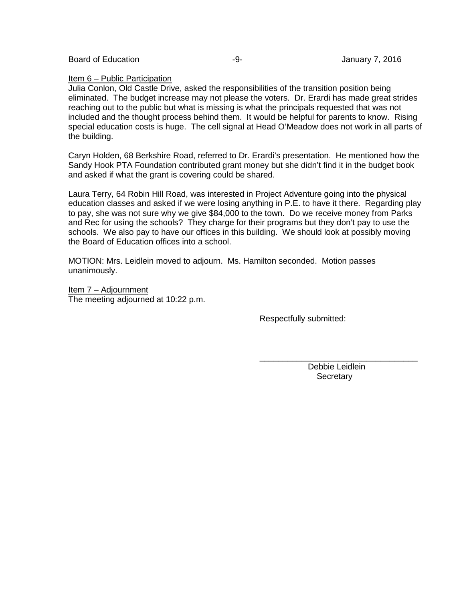Board of Education **-9-** Figure 1.1 Level 3.1 Level 3.1 Level 3.1 Level 3.1 Level 3.1 Level 3.1 Level 3.1 Level 3.1 Level 3.1 Level 3.1 Level 3.1 Level 3.1 Level 3.1 Level 3.1 Level 3.1 Level 3.1 Level 3.1 Level 3.1 Level

### Item 6 – Public Participation

Julia Conlon, Old Castle Drive, asked the responsibilities of the transition position being eliminated. The budget increase may not please the voters. Dr. Erardi has made great strides reaching out to the public but what is missing is what the principals requested that was not included and the thought process behind them. It would be helpful for parents to know. Rising special education costs is huge. The cell signal at Head O'Meadow does not work in all parts of the building.

Caryn Holden, 68 Berkshire Road, referred to Dr. Erardi's presentation. He mentioned how the Sandy Hook PTA Foundation contributed grant money but she didn't find it in the budget book and asked if what the grant is covering could be shared.

Laura Terry, 64 Robin Hill Road, was interested in Project Adventure going into the physical education classes and asked if we were losing anything in P.E. to have it there. Regarding play to pay, she was not sure why we give \$84,000 to the town. Do we receive money from Parks and Rec for using the schools? They charge for their programs but they don't pay to use the schools. We also pay to have our offices in this building. We should look at possibly moving the Board of Education offices into a school.

MOTION: Mrs. Leidlein moved to adjourn. Ms. Hamilton seconded. Motion passes unanimously.

Item 7 – Adjournment The meeting adjourned at 10:22 p.m.

Respectfully submitted:

\_\_\_\_\_\_\_\_\_\_\_\_\_\_\_\_\_\_\_\_\_\_\_\_\_\_\_\_\_\_\_\_\_\_ Debbie Leidlein **Secretary**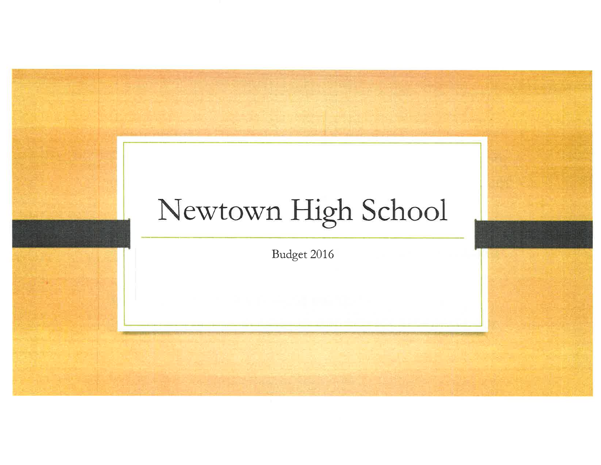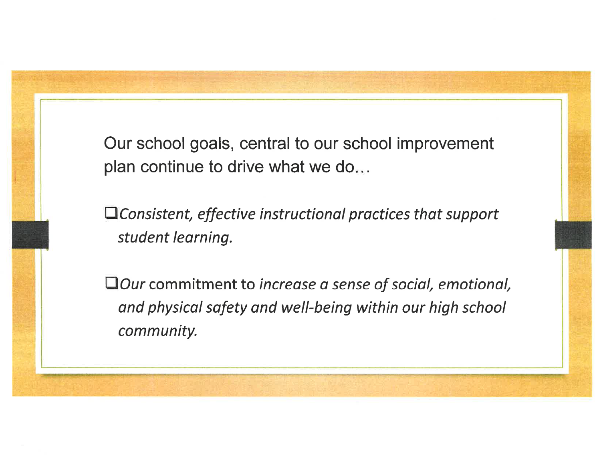Our school goals, central to our school improvement plan continue to drive what we do...

 $\Box$  Consistent, effective instructional practices that support student learning.

□Our commitment to increase a sense of social, emotional, and physical safety and well-being within our high school community.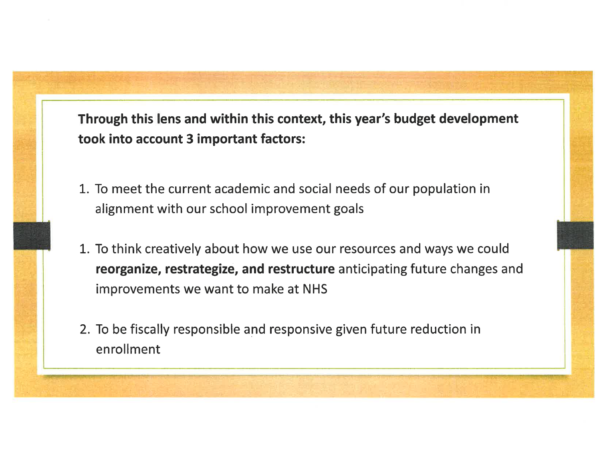Through this lens and within this context, this year's budget development took into account 3 important factors:

- 1. To meet the current academic and social needs of our population in alignment with our school improvement goals
- 1. To think creatively about how we use our resources and ways we could reorganize, restrategize, and restructure anticipating future changes and improvements we want to make at NHS
- 2. To be fiscally responsible and responsive given future reduction in enrollment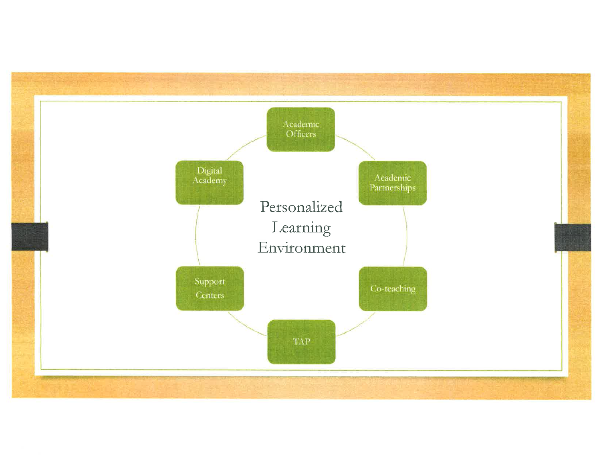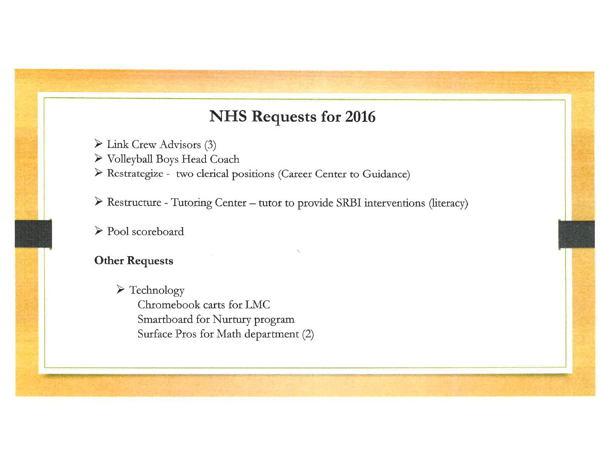# **NHS Requests for 2016**

- $\triangleright$  Link Crew Advisors (3)
- > Volleyball Boys Head Coach
- > Restrategize two clerical positions (Career Center to Guidance)

> Restructure - Tutoring Center - tutor to provide SRBI interventions (literacy)

 $\triangleright$  Pool scoreboard

# **Other Requests**

 $\triangleright$  Technology Chromebook carts for LMC Smartboard for Nurtury program Surface Pros for Math department (2)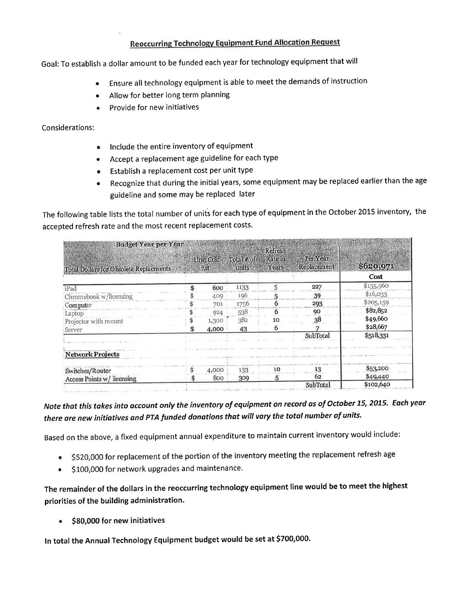# **Reoccurring Technology Equipment Fund Allocation Request**

Goal: To establish a dollar amount to be funded each year for technology equipment that will

- Ensure all technology equipment is able to meet the demands of instruction
- Allow for better long term planning
- Provide for new initiatives

### Considerations:

- Include the entire inventory of equipment
- Accept a replacement age guideline for each type
- Establish a replacement cost per unit type
- Recognize that during the initial years, some equipment may be replaced earlier than the age guideline and some may be replaced later

The following table lists the total number of units for each type of equipment in the October 2015 inventory, the accepted refresh rate and the most recent replacement costs.

| <b>Budget Year per Year</b>            |                   |                          |                                    |                         |           |
|----------------------------------------|-------------------|--------------------------|------------------------------------|-------------------------|-----------|
| Total Dollars for Obsolete Replacments | Unit Cost<br>Est. | Total $\neq$ of<br>units | Refresh<br><b>Rate</b> in<br>Years | Per Year<br>Replacement | \$620,971 |
|                                        |                   |                          |                                    |                         | Cost      |
| iPad                                   | 600               | 1133                     | 5                                  | 227                     | \$135,960 |
| Chromebook w/licensing                 | 409               | 196                      |                                    | 39                      | \$16,033  |
| Computer                               | 701               | 1756                     |                                    | 293                     | \$205,159 |
| Laptop                                 | 924               | 538                      |                                    | 90                      | \$82,852  |
| Projector with mount                   | 1,300             | 382                      | 10                                 | 38                      | \$49,660  |
| Server                                 | 4,000             | 43                       | 6                                  |                         | \$28,667  |
|                                        |                   |                          |                                    | SubTotal                | \$518,331 |
| <b>Network Projects</b>                |                   |                          |                                    |                         |           |
| Switches/Router                        | 4,000             | 133                      | 10                                 | 13                      | \$53,200  |
| Access Points w/ licensing             | 800               | 309                      | 5                                  | 62                      | \$49,440  |
|                                        |                   |                          |                                    | SubTotal                | \$102,640 |

Note that this takes into account only the inventory of equipment on record as of October 15, 2015. Each year there are new initiatives and PTA funded donations that will vary the total number of units.

Based on the above, a fixed equipment annual expenditure to maintain current inventory would include:

- \$520,000 for replacement of the portion of the inventory meeting the replacement refresh age
- \$100,000 for network upgrades and maintenance.  $\bullet$

The remainder of the dollars in the reoccurring technology equipment line would be to meet the highest priorities of the building administration.

• \$80,000 for new initiatives

In total the Annual Technology Equipment budget would be set at \$700,000.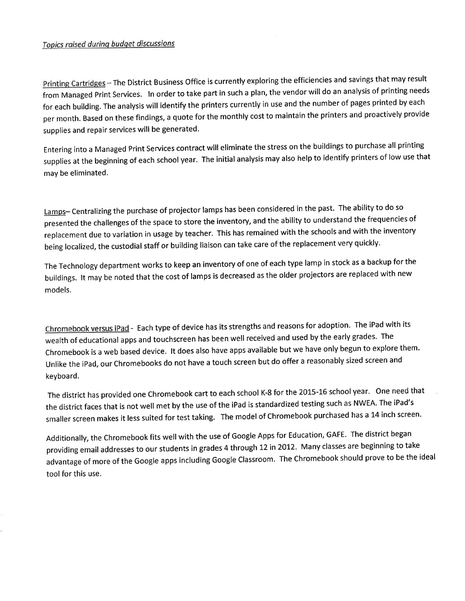### Topics raised during budget discussions

Printing Cartridges - The District Business Office is currently exploring the efficiencies and savings that may result from Managed Print Services. In order to take part in such a plan, the vendor will do an analysis of printing needs for each building. The analysis will identify the printers currently in use and the number of pages printed by each per month. Based on these findings, a quote for the monthly cost to maintain the printers and proactively provide supplies and repair services will be generated.

Entering into a Managed Print Services contract will eliminate the stress on the buildings to purchase all printing supplies at the beginning of each school year. The initial analysis may also help to identify printers of low use that may be eliminated.

Lamps- Centralizing the purchase of projector lamps has been considered in the past. The ability to do so presented the challenges of the space to store the inventory, and the ability to understand the frequencies of replacement due to variation in usage by teacher. This has remained with the schools and with the inventory being localized, the custodial staff or building liaison can take care of the replacement very quickly.

The Technology department works to keep an inventory of one of each type lamp in stock as a backup for the buildings. It may be noted that the cost of lamps is decreased as the older projectors are replaced with new models.

Chromebook versus iPad - Each type of device has its strengths and reasons for adoption. The iPad with its wealth of educational apps and touchscreen has been well received and used by the early grades. The Chromebook is a web based device. It does also have apps available but we have only begun to explore them. Unlike the iPad, our Chromebooks do not have a touch screen but do offer a reasonably sized screen and keyboard.

The district has provided one Chromebook cart to each school K-8 for the 2015-16 school year. One need that the district faces that is not well met by the use of the iPad is standardized testing such as NWEA. The iPad's smaller screen makes it less suited for test taking. The model of Chromebook purchased has a 14 inch screen.

Additionally, the Chromebook fits well with the use of Google Apps for Education, GAFE. The district began providing email addresses to our students in grades 4 through 12 in 2012. Many classes are beginning to take advantage of more of the Google apps including Google Classroom. The Chromebook should prove to be the ideal tool for this use.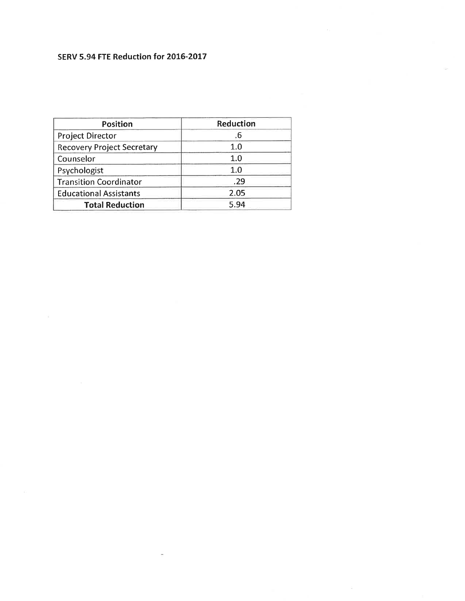# SERV 5.94 FTE Reduction for 2016-2017

ä

| <b>Position</b>                   | Reduction |  |  |
|-----------------------------------|-----------|--|--|
| Project Director                  | .b        |  |  |
| <b>Recovery Project Secretary</b> | 1.0       |  |  |
| Counselor                         | 1.0       |  |  |
| Psychologist                      | 1.0       |  |  |
| <b>Transition Coordinator</b>     | .29       |  |  |
| <b>Educational Assistants</b>     | 2.05      |  |  |
| <b>Total Reduction</b>            | 5.94      |  |  |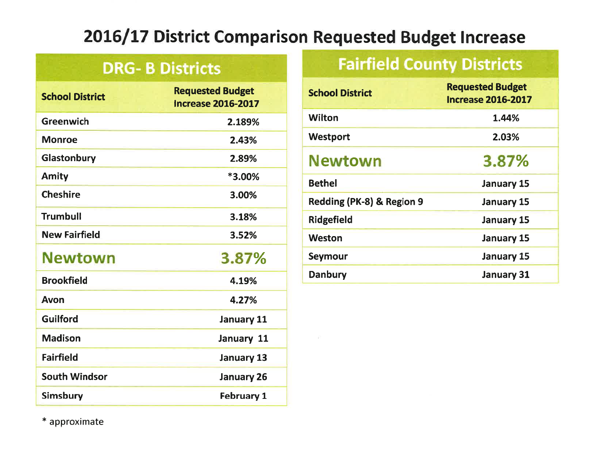# 2016/17 District Comparison Requested Budget Increase

# **DRG-B Districts**

| <b>School District</b> | <b>Requested Budget</b><br><b>Increase 2016-2017</b> |
|------------------------|------------------------------------------------------|
| <b>Greenwich</b>       | 2.189%                                               |
| <b>Monroe</b>          | 2.43%                                                |
| Glastonbury            | 2.89%                                                |
| <b>Amity</b>           | *3.00%                                               |
| <b>Cheshire</b>        | 3.00%                                                |
| <b>Trumbull</b>        | 3.18%                                                |
| <b>New Fairfield</b>   | 3.52%                                                |
| <b>Newtown</b>         | 3.87%                                                |
| <b>Brookfield</b>      | 4.19%                                                |
| Avon                   | 4.27%                                                |
| Guilford               | <b>January 11</b>                                    |
| <b>Madison</b>         | January 11                                           |
| <b>Fairfield</b>       | <b>January 13</b>                                    |
| <b>South Windsor</b>   | <b>January 26</b>                                    |
| Simsbury               | <b>February 1</b>                                    |

# **Fairfield County Districts**

| <b>School District</b>    | <b>Requested Budget</b><br><b>Increase 2016-2017</b> |
|---------------------------|------------------------------------------------------|
| Wilton                    | 1.44%                                                |
| <b>Westport</b>           | 2.03%                                                |
| <b>Newtown</b>            | 3.87%                                                |
| <b>Bethel</b>             | <b>January 15</b>                                    |
| Redding (PK-8) & Region 9 | <b>January 15</b>                                    |
| <b>Ridgefield</b>         | <b>January 15</b>                                    |
| <b>Weston</b>             | <b>January 15</b>                                    |
| <b>Seymour</b>            | <b>January 15</b>                                    |
| <b>Danbury</b>            | <b>January 31</b>                                    |

\* approximate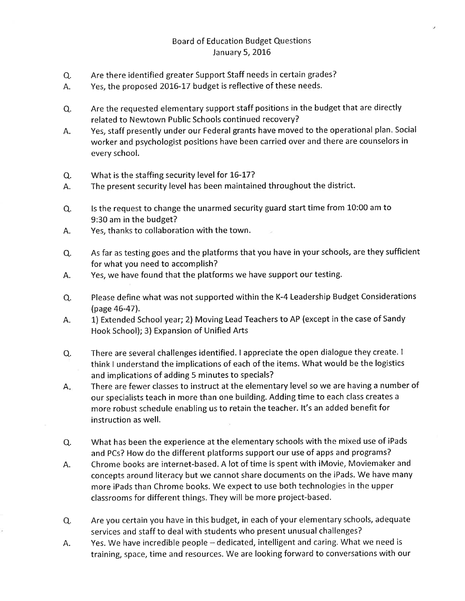## **Board of Education Budget Questions** January 5, 2016

- Are there identified greater Support Staff needs in certain grades? Q.
- Yes, the proposed 2016-17 budget is reflective of these needs. Α.
- Are the requested elementary support staff positions in the budget that are directly Q. related to Newtown Public Schools continued recovery?
- Yes, staff presently under our Federal grants have moved to the operational plan. Social А. worker and psychologist positions have been carried over and there are counselors in every school.
- What is the staffing security level for 16-17? Q.
- The present security level has been maintained throughout the district. А.
- Is the request to change the unarmed security guard start time from 10:00 am to Q. 9:30 am in the budget?
- Yes, thanks to collaboration with the town. А.
- As far as testing goes and the platforms that you have in your schools, are they sufficient Q. for what you need to accomplish?
- Yes, we have found that the platforms we have support our testing. А.
- Please define what was not supported within the K-4 Leadership Budget Considerations Q. (page 46-47).
- 1) Extended School year; 2) Moving Lead Teachers to AP (except in the case of Sandy Α. Hook School); 3) Expansion of Unified Arts
- There are several challenges identified. I appreciate the open dialogue they create. I Q. think I understand the implications of each of the items. What would be the logistics and implications of adding 5 minutes to specials?
- There are fewer classes to instruct at the elementary level so we are having a number of  $A_{\star}$ our specialists teach in more than one building. Adding time to each class creates a more robust schedule enabling us to retain the teacher. It's an added benefit for instruction as well.
- What has been the experience at the elementary schools with the mixed use of iPads Q. and PCs? How do the different platforms support our use of apps and programs?
- Chrome books are internet-based. A lot of time is spent with iMovie, Moviemaker and Α. concepts around literacy but we cannot share documents on the iPads. We have many more iPads than Chrome books. We expect to use both technologies in the upper classrooms for different things. They will be more project-based.
- Are you certain you have in this budget, in each of your elementary schools, adequate Q. services and staff to deal with students who present unusual challenges?
- Yes. We have incredible people dedicated, intelligent and caring. What we need is Α. training, space, time and resources. We are looking forward to conversations with our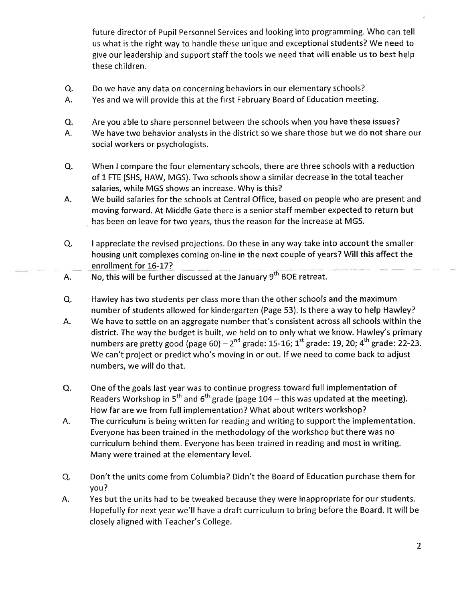future director of Pupil Personnel Services and looking into programming. Who can tell us what is the right way to handle these unique and exceptional students? We need to give our leadership and support staff the tools we need that will enable us to best help these children.

- Q. Do we have any data on concerning behaviors in our elementary schools?
- Α. Yes and we will provide this at the first February Board of Education meeting.
- Are you able to share personnel between the schools when you have these issues? Q.
- We have two behavior analysts in the district so we share those but we do not share our А. social workers or psychologists.
- Q. When I compare the four elementary schools, there are three schools with a reduction of 1 FTE (SHS, HAW, MGS). Two schools show a similar decrease in the total teacher salaries, while MGS shows an increase. Why is this?
- А. We build salaries for the schools at Central Office, based on people who are present and moving forward. At Middle Gate there is a senior staff member expected to return but has been on leave for two years, thus the reason for the increase at MGS.
- Q. I appreciate the revised projections. Do these in any way take into account the smaller housing unit complexes coming on-line in the next couple of years? Will this affect the enrollment for 16-17?
- No, this will be further discussed at the January 9<sup>th</sup> BOE retreat. А.
- Hawley has two students per class more than the other schools and the maximum Q. number of students allowed for kindergarten (Page 53). Is there a way to help Hawley?
- We have to settle on an aggregate number that's consistent across all schools within the А. district. The way the budget is built, we held on to only what we know. Hawley's primary numbers are pretty good (page 60) –  $2^{nd}$  grade: 15-16;  $1^{st}$  grade: 19, 20;  $4^{th}$  grade: 22-23. We can't project or predict who's moving in or out. If we need to come back to adjust numbers, we will do that.
- One of the goals last year was to continue progress toward full implementation of Q. Readers Workshop in 5<sup>th</sup> and 6<sup>th</sup> grade (page 104 – this was updated at the meeting). How far are we from full implementation? What about writers workshop?
- А. The curriculum is being written for reading and writing to support the implementation. Everyone has been trained in the methodology of the workshop but there was no curriculum behind them. Everyone has been trained in reading and most in writing. Many were trained at the elementary level.
- Don't the units come from Columbia? Didn't the Board of Education purchase them for Q. you?
- Yes but the units had to be tweaked because they were inappropriate for our students. Α. Hopefully for next year we'll have a draft curriculum to bring before the Board. It will be closely aligned with Teacher's College.